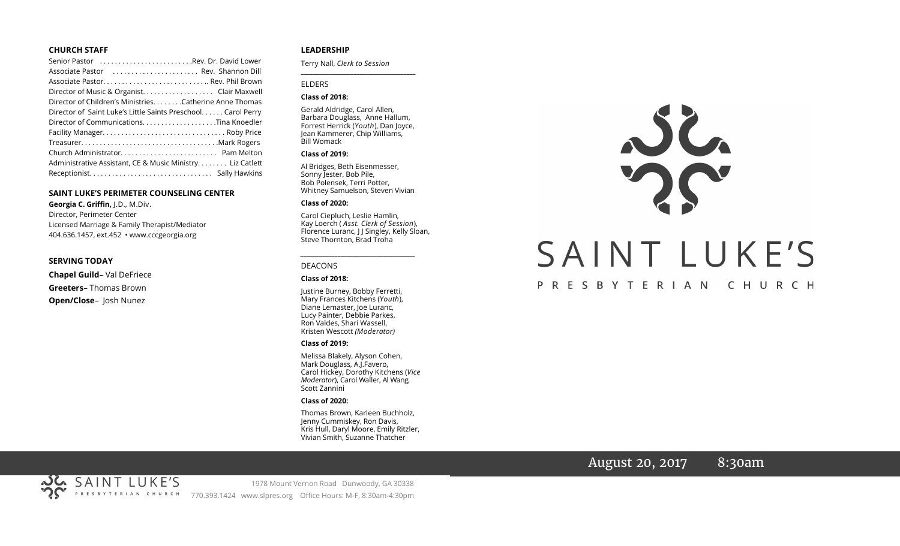#### **CHURCH STAFF**

| Senior Pastor Rev. Dr. David Lower                           |
|--------------------------------------------------------------|
| Associate Pastor  Rev. Shannon Dill                          |
|                                                              |
|                                                              |
| Director of Children's Ministries. Catherine Anne Thomas     |
| Director of Saint Luke's Little Saints Preschool Carol Perry |
|                                                              |
|                                                              |
|                                                              |
|                                                              |
| Administrative Assistant, CE & Music Ministry Liz Catlett    |
|                                                              |

#### **SAINT LUKE'S PERIMETER COUNSELING CENTER**

**Georgia C. Griffin,** J.D., M.Div. Director, Perimeter Center Licensed Marriage & Family Therapist/Mediator 404.636.1457, ext.452 • www.cccgeorgia.org

#### **SERVING TODAY**

**Chapel Guild**– Val DeFriece **Greeters**– Thomas Brown

**Open/Close**– Josh Nunez

#### **LEADERSHIP**

Terry Nall, *Clerk to Session* 

#### ELDERS

#### **Class of 2018:**

Gerald Aldridge, Carol Allen, Barbara Douglass, Anne Hallum, Forrest Herrick (*Youth*), Dan Joyce, Jean Kammerer, Chip Williams, Bill Womack

**\_\_\_\_\_\_\_\_\_\_\_\_\_\_\_\_\_\_\_\_\_\_\_\_\_\_\_\_\_\_\_\_\_\_\_\_\_\_\_**

#### **Class of 2019:**

Al Bridges, Beth Eisenmesser, Sonny Jester, Bob Pile, Bob Polensek, Terri Potter, Whitney Samuelson, Steven Vivian

#### **Class of 2020:**

Carol Ciepluch, Leslie Hamlin, Kay Loerch ( *Asst. Clerk of Session*), Florence Luranc, J J Singley, Kelly Sloan, Steve Thornton, Brad Troha

*\_\_\_\_\_\_\_\_\_\_\_\_\_\_\_\_\_\_\_\_\_\_\_\_\_\_\_\_\_\_\_\_\_\_\_\_\_*

#### DEACONS

#### **Class of 2018:**

Justine Burney, Bobby Ferretti, Mary Frances Kitchens (*Youth*), Diane Lemaster, Joe Luranc, Lucy Painter, Debbie Parkes, Ron Valdes, Shari Wassell, Kristen Wescott *(Moderator)*

#### **Class of 2019:**

Melissa Blakely, Alyson Cohen, Mark Douglass, A.J.Favero, Carol Hickey, Dorothy Kitchens (*Vice Moderator*), Carol Waller, Al Wang, Scott Zannini

#### **Class of 2020:**

Thomas Brown, Karleen Buchholz, Jenny Cummiskey, Ron Davis, Kris Hull, Daryl Moore, Emily Ritzler, Vivian Smith, Suzanne Thatcher



# August 20, 2017 8:30am

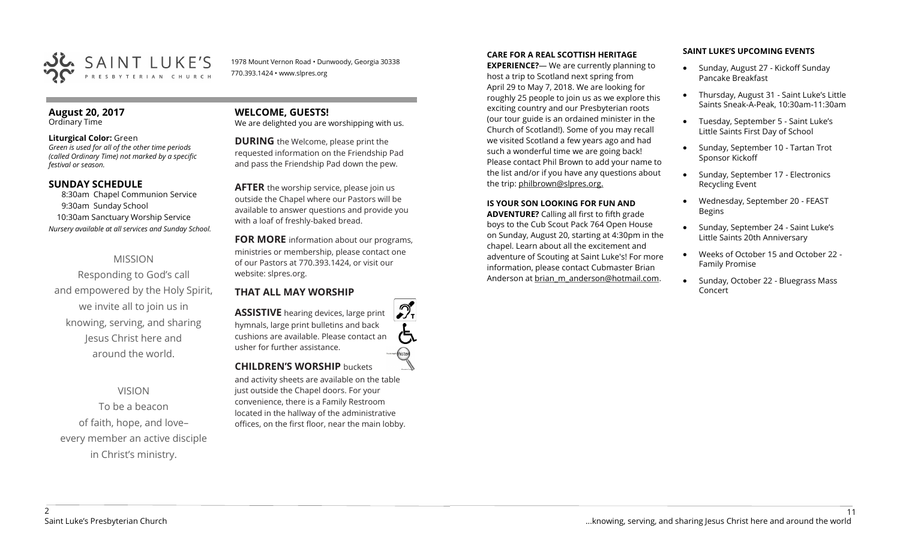

1978 Mount Vernon Road • Dunwoody, Georgia 30338 770.393.1424 • www.slpres.org

#### **August 20, 2017**  Ordinary Time

#### **Liturgical Color:** Green

*Green is used for all of the other time periods (called Ordinary Time) not marked by a specific festival or season.*

## **SUNDAY SCHEDULE**

8:30am Chapel Communion Service 9:30am Sunday School 10:30am Sanctuary Worship Service *Nursery available at all services and Sunday School.*

# MISSION

Responding to God's call and empowered by the Holy Spirit, we invite all to join us in knowing, serving, and sharing Jesus Christ here and around the world.

# VISION

To be a beacon of faith, hope, and love– every member an active disciple in Christ's ministry.

# **WELCOME, GUESTS!**

We are delighted you are worshipping with us.

**DURING** the Welcome, please print the requested information on the Friendship Pad and pass the Friendship Pad down the pew.

**AFTER** the worship service, please join us outside the Chapel where our Pastors will be available to answer questions and provide you with a loaf of freshly-baked bread.

**FOR MORE** information about our programs, ministries or membership, please contact one of our Pastors at 770.393.1424, or visit our website: slpres.org.

# **THAT ALL MAY WORSHIP**

**ASSISTIVE** hearing devices, large print hymnals, large print bulletins and back cushions are available. Please contact an usher for further assistance. **CHILDREN'S WORSHIP** buckets

and activity sheets are available on the table just outside the Chapel doors. For your convenience, there is a Family Restroom located in the hallway of the administrative offices, on the first floor, near the main lobby.

#### **CARE FOR A REAL SCOTTISH HERITAGE**

**EXPERIENCE?**— We are currently planning to host a trip to Scotland next spring from April 29 to May 7, 2018. We are looking for roughly 25 people to join us as we explore this exciting country and our Presbyterian roots (our tour guide is an ordained minister in the Church of Scotland!). Some of you may recall we visited Scotland a few years ago and had such a wonderful time we are going back! Please contact Phil Brown to add your name to the list and/or if you have any questions about the trip: philbrown@slpres.org.

#### **IS YOUR SON LOOKING FOR FUN AND**

**ADVENTURE?** Calling all first to fifth grade boys to the Cub Scout Pack 764 Open House on Sunday, August 20, starting at 4:30pm in the chapel. Learn about all the excitement and adventure of Scouting at Saint Luke's! For more information, please contact Cubmaster Brian Anderson at [brian\\_m\\_anderson@hotmail.com.](mailto:brian_m_anderson@hotmail.com)

#### **SAINT LUKE'S UPCOMING EVENTS**

- Sunday, August 27 Kickoff Sunday Pancake Breakfast
- Thursday, August 31 Saint Luke's Little Saints Sneak-A-Peak, 10:30am-11:30am
- Tuesday, September 5 Saint Luke's Little Saints First Day of School
- Sunday, September 10 Tartan Trot Sponsor Kickoff
- Sunday, September 17 Electronics Recycling Event
- Wednesday, September 20 FEAST Begins
- Sunday, September 24 Saint Luke's Little Saints 20th Anniversary
- Weeks of October 15 and October 22 Family Promise
- Sunday, October 22 Bluegrass Mass Concert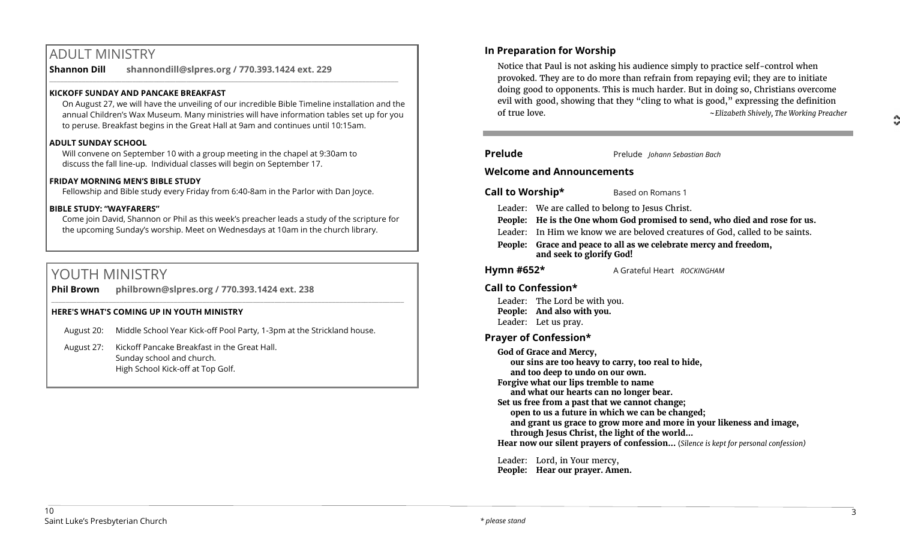# ADULT MINISTRY

**Shannon Dill shannondill@slpres.org / 770.393.1424 ext. 229**   $\_$  ,  $\_$  ,  $\_$  ,  $\_$  ,  $\_$  ,  $\_$  ,  $\_$  ,  $\_$  ,  $\_$  ,  $\_$  ,  $\_$  ,  $\_$  ,  $\_$  ,  $\_$  ,  $\_$  ,  $\_$  ,  $\_$  ,  $\_$  ,  $\_$  ,  $\_$ 

### **KICKOFF SUNDAY AND PANCAKE BREAKFAST**

On August 27, we will have the unveiling of our incredible Bible Timeline installation and the annual Children's Wax Museum. Many ministries will have information tables set up for you to peruse. Breakfast begins in the Great Hall at 9am and continues until 10:15am.

#### **ADULT SUNDAY SCHOOL**

Will convene on September 10 with a group meeting in the chapel at 9:30am to discuss the fall line-up. Individual classes will begin on September 17.

#### **FRIDAY MORNING MEN'S BIBLE STUDY**

Fellowship and Bible study every Friday from 6:40-8am in the Parlor with Dan Joyce.

#### **BIBLE STUDY: "WAYFARERS"**

Come join David, Shannon or Phil as this week's preacher leads a study of the scripture for the upcoming Sunday's worship. Meet on Wednesdays at 10am in the church library.

 $\_$  , and the set of the set of the set of the set of the set of the set of the set of the set of the set of the set of the set of the set of the set of the set of the set of the set of the set of the set of the set of th

# YOUTH MINISTRY

**Phil Brown philbrown@slpres.org / 770.393.1424 ext. 238** 

#### **HERE'S WHAT'S COMING UP IN YOUTH MINISTRY**

- August 20: Middle School Year Kick-off Pool Party, 1-3pm at the Strickland house.
- August 27: Kickoff Pancake Breakfast in the Great Hall. Sunday school and church. High School Kick-off at Top Golf.

# **In Preparation for Worship**

Notice that Paul is not asking his audience simply to practice self-control when provoked. They are to do more than refrain from repaying evil; they are to initiate doing good to opponents. This is much harder. But in doing so, Christians overcome evil with good, showing that they "cling to what is good," expressing the definition of true love. ~*Elizabeth Shively, The Working Preacher*

| <b>Prelude</b>                   |                                                                           | Prelude Johann Sebastian Bach                                                |  |
|----------------------------------|---------------------------------------------------------------------------|------------------------------------------------------------------------------|--|
| <b>Welcome and Announcements</b> |                                                                           |                                                                              |  |
| Call to Worship*                 |                                                                           | Based on Romans 1                                                            |  |
|                                  | Leader: We are called to belong to Jesus Christ.                          |                                                                              |  |
|                                  | People: He is the One whom God promised to send, who died and rose for us |                                                                              |  |
|                                  |                                                                           | Leader: In Him we know we are beloved creatures of God, called to be saints. |  |

**People: Grace and peace to all as we celebrate mercy and freedom, and seek to glorify God!**

**Hymn #652\*** A Grateful Heart *ROCKINGHAM*

# **Call to Confession\***

Leader: The Lord be with you. **People: And also with you.** Leader: Let us pray.

## **Prayer of Confession\***

**God of Grace and Mercy, our sins are too heavy to carry, too real to hide, and too deep to undo on our own. Forgive what our lips tremble to name and what our hearts can no longer bear. Set us free from a past that we cannot change; open to us a future in which we can be changed; and grant us grace to grow more and more in your likeness and image, through Jesus Christ, the light of the world... Hear now our silent prayers of confession…** (*Silence is kept for personal confession)* 

Leader: Lord, in Your mercy, **People: Hear our prayer. Amen.**  $\frac{1}{2}$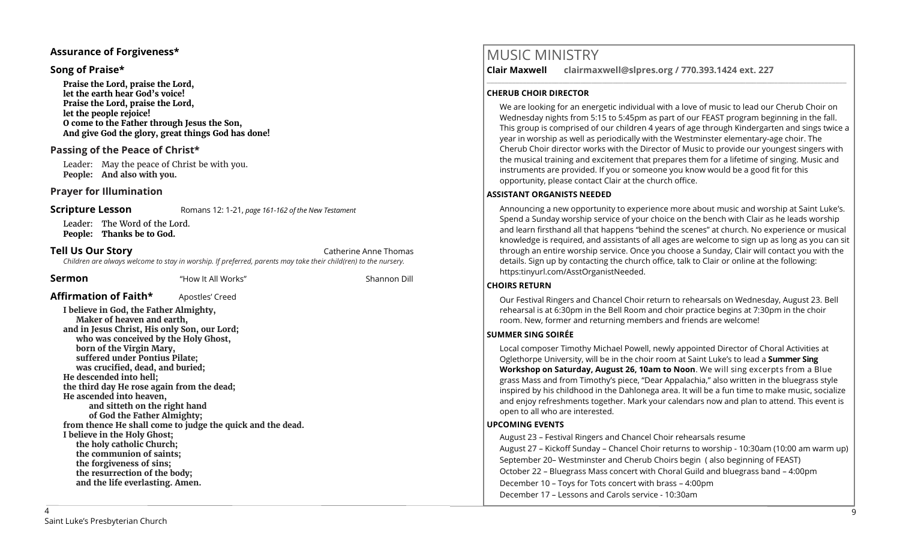## **Assurance of Forgiveness\***

## **Song of Praise\***

**Praise the Lord, praise the Lord, let the earth hear God's voice! Praise the Lord, praise the Lord, let the people rejoice! O come to the Father through Jesus the Son, And give God the glory, great things God has done!** 

## **Passing of the Peace of Christ\***

Leader: May the peace of Christ be with you. **People: And also with you.**

## **Prayer for Illumination**

**Scripture Lesson** Romans 12: 1-21, *page 161-162 of the New Testament* 

Leader: The Word of the Lord. **People: Thanks be to God.**

**Tell Us Our Story Catherine Anne Thomas Catherine Anne Thomas Catherine Anne Thomas** *Children are always welcome to stay in worship. If preferred, parents may take their child(ren) to the nursery.*

**Sermon** "How It All Works" Shannon Dill

## **Affirmation of Faith\*** Apostles' Creed

**I believe in God, the Father Almighty, Maker of heaven and earth, and in Jesus Christ, His only Son, our Lord; who was conceived by the Holy Ghost, born of the Virgin Mary, suffered under Pontius Pilate; was crucified, dead, and buried; He descended into hell; the third day He rose again from the dead; He ascended into heaven, and sitteth on the right hand of God the Father Almighty; from thence He shall come to judge the quick and the dead. I believe in the Holy Ghost; the holy catholic Church; the communion of saints; the forgiveness of sins; the resurrection of the body; and the life everlasting. Amen.**

# MUSIC MINISTRY

**Clair Maxwell clairmaxwell@slpres.org / 770.393.1424 ext. 227** 

#### **CHERUB CHOIR DIRECTOR**

We are looking for an energetic individual with a love of music to lead our Cherub Choir on Wednesday nights from 5:15 to 5:45pm as part of our FEAST program beginning in the fall. This group is comprised of our children 4 years of age through Kindergarten and sings twice a year in worship as well as periodically with the Westminster elementary-age choir. The Cherub Choir director works with the Director of Music to provide our youngest singers with the musical training and excitement that prepares them for a lifetime of singing. Music and instruments are provided. If you or someone you know would be a good fit for this opportunity, please contact Clair at the church office.

\_\_\_\_\_\_\_\_\_\_\_\_\_\_\_\_\_\_\_\_\_\_\_\_\_\_\_\_\_\_\_\_\_\_\_\_\_\_\_\_\_\_\_\_\_\_\_\_\_\_\_\_\_\_\_\_\_\_\_\_\_\_\_\_\_\_\_\_\_\_\_\_\_\_\_\_\_\_\_\_\_\_\_\_\_\_\_\_\_\_\_\_\_\_\_\_\_\_\_\_

#### **ASSISTANT ORGANISTS NEEDED**

Announcing a new opportunity to experience more about music and worship at Saint Luke's. Spend a Sunday worship service of your choice on the bench with Clair as he leads worship and learn firsthand all that happens "behind the scenes" at church. No experience or musical knowledge is required, and assistants of all ages are welcome to sign up as long as you can sit through an entire worship service. Once you choose a Sunday, Clair will contact you with the details. Sign up by contacting the church office, talk to Clair or online at the following: https:tinyurl.com/AsstOrganistNeeded.

#### **CHOIRS RETURN**

Our Festival Ringers and Chancel Choir return to rehearsals on Wednesday, August 23. Bell rehearsal is at 6:30pm in the Bell Room and choir practice begins at 7:30pm in the choir room. New, former and returning members and friends are welcome!

#### **SUMMER SING SOIRÉE**

Local composer Timothy Michael Powell, newly appointed Director of Choral Activities at Oglethorpe University, will be in the choir room at Saint Luke's to lead a **Summer Sing Workshop on Saturday, August 26, 10am to Noon**. We will sing excerpts from a Blue grass Mass and from Timothy's piece, "Dear Appalachia," also written in the bluegrass style inspired by his childhood in the Dahlonega area. It will be a fun time to make music, socialize and enjoy refreshments together. Mark your calendars now and plan to attend. This event is open to all who are interested.

## **UPCOMING EVENTS**

August 23 – Festival Ringers and Chancel Choir rehearsals resume August 27 – Kickoff Sunday – Chancel Choir returns to worship - 10:30am (10:00 am warm up) September 20– Westminster and Cherub Choirs begin ( also beginning of FEAST) October 22 – Bluegrass Mass concert with Choral Guild and bluegrass band – 4:00pm December 10 – Toys for Tots concert with brass – 4:00pm December 17 – Lessons and Carols service - 10:30am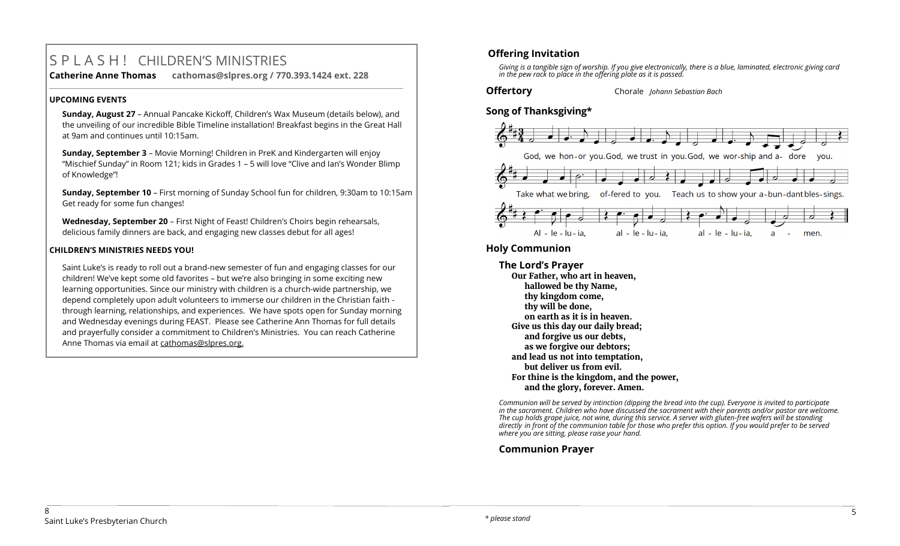# S P L A S H ! CHILDREN'S MINISTRIES

**Catherine Anne Thomas cathomas@slpres.org / 770.393.1424 ext. 228 \_\_\_\_\_\_\_\_\_\_\_\_\_\_\_\_\_\_\_\_\_\_\_\_\_\_\_\_\_\_\_\_\_\_\_\_\_\_\_\_\_\_\_\_\_\_\_\_\_\_\_\_\_\_\_\_\_\_\_\_\_\_\_\_\_\_\_\_\_\_\_\_\_\_\_\_\_\_\_\_\_\_\_\_\_\_\_\_\_\_\_\_\_\_\_\_\_\_\_\_\_\_\_\_\_\_\_** 

## **UPCOMING EVENTS**

**Sunday, August 27** – Annual Pancake Kickoff, Children's Wax Museum (details below), and the unveiling of our incredible Bible Timeline installation! Breakfast begins in the Great Hall at 9am and continues until 10:15am.

**Sunday, September 3** – Movie Morning! Children in PreK and Kindergarten will enjoy "Mischief Sunday" in Room 121; kids in Grades 1 – 5 will love "Clive and Ian's Wonder Blimp of Knowledge"!

**Sunday, September 10** – First morning of Sunday School fun for children, 9:30am to 10:15am Get ready for some fun changes!

**Wednesday, September 20** – First Night of Feast! Children's Choirs begin rehearsals, delicious family dinners are back, and engaging new classes debut for all ages!

## **CHILDREN'S MINISTRIES NEEDS YOU!**

Saint Luke's is ready to roll out a brand-new semester of fun and engaging classes for our children! We've kept some old favorites – but we're also bringing in some exciting new learning opportunities. Since our ministry with children is a church-wide partnership, we depend completely upon adult volunteers to immerse our children in the Christian faith through learning, relationships, and experiences. We have spots open for Sunday morning and Wednesday evenings during FEAST. Please see Catherine Ann Thomas for full details and prayerfully consider a commitment to Children's Ministries. You can reach Catherine Anne Thomas via email at cathomas@slpres.org.

# **Offering Invitation**

*Giving is a tangible sign of worship. If you give electronically, there is a blue, laminated, electronic giving card in the pew rack to place in the offering plate as it is passed.*

#### **Offertory** Chorale *Johann Sebastian Bach*

# **Song of Thanksgiving\***



# **Holy Communion**

**The Lord's Prayer Our Father, who art in heaven, hallowed be thy Name, thy kingdom come, thy will be done, on earth as it is in heaven. Give us this day our daily bread; and forgive us our debts, as we forgive our debtors; and lead us not into temptation, but deliver us from evil. For thine is the kingdom, and the power, and the glory, forever. Amen.**

*Communion will be served by intinction (dipping the bread into the cup). Everyone is invited to participate in the sacrament. Children who have discussed the sacrament with their parents and/or pastor are welcome. The cup holds grape juice, not wine, during this service. A server with gluten-free wafers will be standing directly in front of the communion table for those who prefer this option. If you would prefer to be served where you are sitting, please raise your hand.* 

# **Communion Prayer**